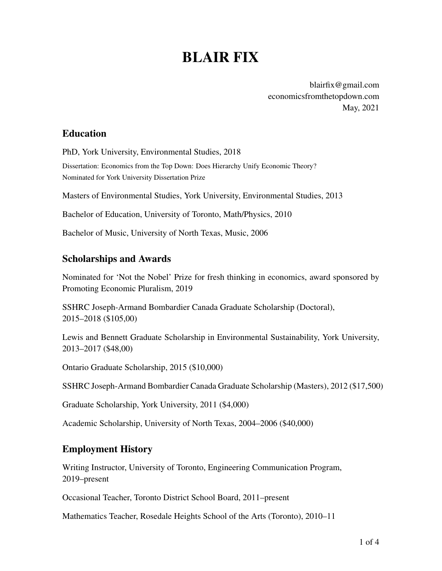# BLAIR FIX

blairfix@gmail.com [economicsfromthetopdown.com](https://economicsfromthetopdown.com/) May, 2021

# Education

PhD, York University, Environmental Studies, 2018 Dissertation: Economics from the Top Down: Does Hierarchy Unify Economic Theory? Nominated for York University Dissertation Prize

Masters of Environmental Studies, York University, Environmental Studies, 2013

Bachelor of Education, University of Toronto, Math/Physics, 2010

Bachelor of Music, University of North Texas, Music, 2006

## Scholarships and Awards

Nominated for 'Not the Nobel' Prize for fresh thinking in economics, award sponsored by Promoting Economic Pluralism, 2019

SSHRC Joseph-Armand Bombardier Canada Graduate Scholarship (Doctoral), 2015–2018 (\$105,00)

Lewis and Bennett Graduate Scholarship in Environmental Sustainability, York University, 2013–2017 (\$48,00)

Ontario Graduate Scholarship, 2015 (\$10,000)

SSHRC Joseph-Armand Bombardier Canada Graduate Scholarship (Masters), 2012 (\$17,500)

Graduate Scholarship, York University, 2011 (\$4,000)

Academic Scholarship, University of North Texas, 2004–2006 (\$40,000)

# Employment History

Writing Instructor, University of Toronto, Engineering Communication Program, 2019–present

Occasional Teacher, Toronto District School Board, 2011–present

Mathematics Teacher, Rosedale Heights School of the Arts (Toronto), 2010–11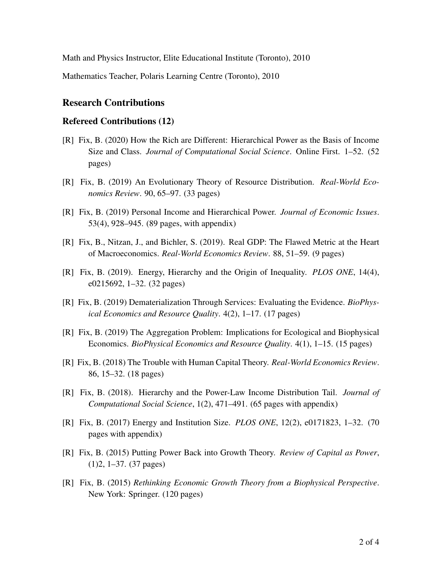Math and Physics Instructor, Elite Educational Institute (Toronto), 2010

Mathematics Teacher, Polaris Learning Centre (Toronto), 2010

#### Research Contributions

#### Refereed Contributions (12)

- [R] Fix, B. (2020) How the Rich are Different: Hierarchical Power as the Basis of Income Size and Class. *Journal of Computational Social Science*. Online First. 1–52. (52 pages)
- [R] Fix, B. (2019) An Evolutionary Theory of Resource Distribution. *Real-World Economics Review*. 90, 65–97. (33 pages)
- [R] Fix, B. (2019) Personal Income and Hierarchical Power. *Journal of Economic Issues*. 53(4), 928–945. (89 pages, with appendix)
- [R] Fix, B., Nitzan, J., and Bichler, S. (2019). Real GDP: The Flawed Metric at the Heart of Macroeconomics. *Real-World Economics Review*. 88, 51–59. (9 pages)
- [R] Fix, B. (2019). Energy, Hierarchy and the Origin of Inequality. *PLOS ONE*, 14(4), e0215692, 1–32. (32 pages)
- [R] Fix, B. (2019) Dematerialization Through Services: Evaluating the Evidence. *BioPhysical Economics and Resource Quality*. 4(2), 1–17. (17 pages)
- [R] Fix, B. (2019) The Aggregation Problem: Implications for Ecological and Biophysical Economics. *BioPhysical Economics and Resource Quality*. 4(1), 1–15. (15 pages)
- [R] Fix, B. (2018) The Trouble with Human Capital Theory. *Real-World Economics Review*. 86, 15–32. (18 pages)
- [R] Fix, B. (2018). Hierarchy and the Power-Law Income Distribution Tail. *Journal of Computational Social Science*, 1(2), 471–491. (65 pages with appendix)
- [R] Fix, B. (2017) Energy and Institution Size. *PLOS ONE*, 12(2), e0171823, 1–32. (70 pages with appendix)
- [R] Fix, B. (2015) Putting Power Back into Growth Theory. *Review of Capital as Power*, (1)2, 1–37. (37 pages)
- [R] Fix, B. (2015) *Rethinking Economic Growth Theory from a Biophysical Perspective*. New York: Springer. (120 pages)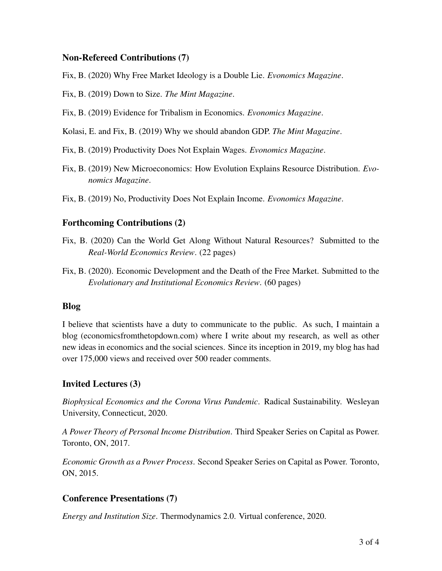#### Non-Refereed Contributions (7)

Fix, B. (2020) Why Free Market Ideology is a Double Lie. *Evonomics Magazine*.

- Fix, B. (2019) Down to Size. *The Mint Magazine*.
- Fix, B. (2019) Evidence for Tribalism in Economics. *Evonomics Magazine*.
- Kolasi, E. and Fix, B. (2019) Why we should abandon GDP. *The Mint Magazine*.
- Fix, B. (2019) Productivity Does Not Explain Wages. *Evonomics Magazine*.
- Fix, B. (2019) New Microeconomics: How Evolution Explains Resource Distribution. *Evonomics Magazine*.
- Fix, B. (2019) No, Productivity Does Not Explain Income. *Evonomics Magazine*.

#### Forthcoming Contributions (2)

- Fix, B. (2020) Can the World Get Along Without Natural Resources? Submitted to the *Real-World Economics Review*. (22 pages)
- Fix, B. (2020). Economic Development and the Death of the Free Market. Submitted to the *Evolutionary and Institutional Economics Review*. (60 pages)

#### Blog

I believe that scientists have a duty to communicate to the public. As such, I maintain a blog [\(economicsfromthetopdown.com\)](https://economicsfromthetopdown.com/) where I write about my research, as well as other new ideas in economics and the social sciences. Since its inception in 2019, my blog has had over 175,000 views and received over 500 reader comments.

## Invited Lectures (3)

*Biophysical Economics and the Corona Virus Pandemic*. Radical Sustainability. Wesleyan University, Connecticut, 2020.

*A Power Theory of Personal Income Distribution*. Third Speaker Series on Capital as Power. Toronto, ON, 2017.

*Economic Growth as a Power Process*. Second Speaker Series on Capital as Power. Toronto, ON, 2015.

## Conference Presentations (7)

*Energy and Institution Size*. Thermodynamics 2.0. Virtual conference, 2020.